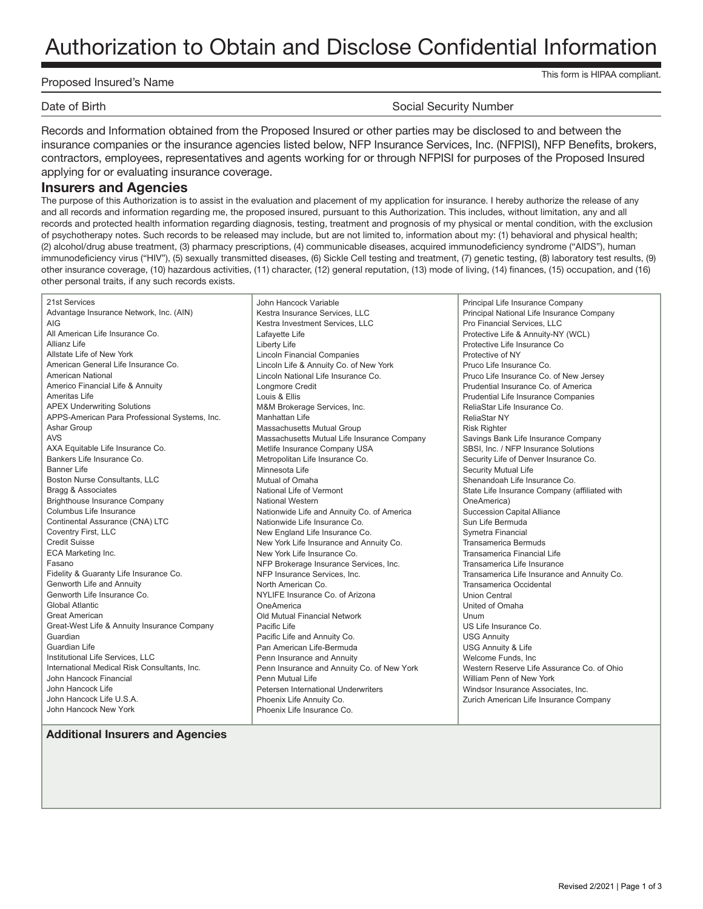# Authorization to Obtain and Disclose Confidential Information

#### Proposed Insured's Name

This form is HIPAA compliant.

Date of Birth Social Security Number

Records and Information obtained from the Proposed Insured or other parties may be disclosed to and between the insurance companies or the insurance agencies listed below, NFP Insurance Services, Inc. (NFPISI), NFP Benefits, brokers, contractors, employees, representatives and agents working for or through NFPISI for purposes of the Proposed Insured applying for or evaluating insurance coverage.

#### **Insurers and Agencies**

The purpose of this Authorization is to assist in the evaluation and placement of my application for insurance. I hereby authorize the release of any and all records and information regarding me, the proposed insured, pursuant to this Authorization. This includes, without limitation, any and all records and protected health information regarding diagnosis, testing, treatment and prognosis of my physical or mental condition, with the exclusion of psychotherapy notes. Such records to be released may include, but are not limited to, information about my: (1) behavioral and physical health; (2) alcohol/drug abuse treatment, (3) pharmacy prescriptions, (4) communicable diseases, acquired immunodeficiency syndrome ("AIDS"), human immunodeficiency virus ("HIV"), (5) sexually transmitted diseases, (6) Sickle Cell testing and treatment, (7) genetic testing, (8) laboratory test results, (9) other insurance coverage, (10) hazardous activities, (11) character, (12) general reputation, (13) mode of living, (14) finances, (15) occupation, and (16) other personal traits, if any such records exists.

21st Services Advantage Insurance Network, Inc. (AIN) AIG All American Life Insurance Co. Allianz Life Allstate Life of New York American General Life Insurance Co. American National Americo Financial Life & Annuity Ameritas Life APEX Underwriting Solutions APPS-American Para Professional Systems, Inc. Ashar Group AVS AXA Equitable Life Insurance Co. Bankers Life Insurance Co. Banner Life Boston Nurse Consultants, LLC Bragg & Associates Brighthouse Insurance Company Columbus Life Insurance Continental Assurance (CNA) LTC Coventry First, LLC Credit Suisse ECA Marketing Inc. Fasano Fidelity & Guaranty Life Insurance Co. Genworth Life and Annuity Genworth Life Insurance Co. Global Atlantic Great American Great-West Life & Annuity Insurance Company Guardian Guardian Life Institutional Life Services, LLC International Medical Risk Consultants, Inc. John Hancock Financial John Hancock Life John Hancock Life U.S.A. John Hancock New York

John Hancock Variable Kestra Insurance Services, LLC Kestra Investment Services, LLC Lafayette Life Liberty Life Lincoln Financial Companies Lincoln Life & Annuity Co. of New York Lincoln National Life Insurance Co. Longmore Credit Louis & Ellis M&M Brokerage Services, Inc. Manhattan Life Massachusetts Mutual Group Massachusetts Mutual Life Insurance Company Metlife Insurance Company USA Metropolitan Life Insurance Co. Minnesota Life Mutual of Omaha National Life of Vermont National Western Nationwide Life and Annuity Co. of America Nationwide Life Insurance Co. New England Life Insurance Co. New York Life Insurance and Annuity Co. New York Life Insurance Co. NFP Brokerage Insurance Services, Inc. NFP Insurance Services, Inc. North American Co. NYLIFE Insurance Co. of Arizona OneAmerica Old Mutual Financial Network Pacific Life Pacific Life and Annuity Co. Pan American Life-Bermuda Penn Insurance and Annuity Penn Insurance and Annuity Co. of New York Penn Mutual Life Petersen International Underwriters Phoenix Life Annuity Co. Phoenix Life Insurance Co.

Principal Life Insurance Company Principal National Life Insurance Company Pro Financial Services, LLC Protective Life & Annuity-NY (WCL) Protective Life Insurance Co Protective of NY Pruco Life Insurance Co. Pruco Life Insurance Co. of New Jersey Prudential Insurance Co. of America Prudential Life Insurance Companies ReliaStar Life Insurance Co. ReliaStar NY Risk Righter Savings Bank Life Insurance Company SBSI, Inc. / NFP Insurance Solutions Security Life of Denver Insurance Co. Security Mutual Life Shenandoah Life Insurance Co. State Life Insurance Company (affiliated with OneAmerica) Succession Capital Alliance Sun Life Bermuda Symetra Financial Transamerica Bermuds Transamerica Financial Life Transamerica Life Insurance Transamerica Life Insurance and Annuity Co. Transamerica Occidental Union Central United of Omaha Unum US Life Insurance Co. USG Annuity USG Annuity & Life Welcome Funds, Inc Western Reserve Life Assurance Co. of Ohio William Penn of New York Windsor Insurance Associates, Inc. Zurich American Life Insurance Company

#### **Additional Insurers and Agencies**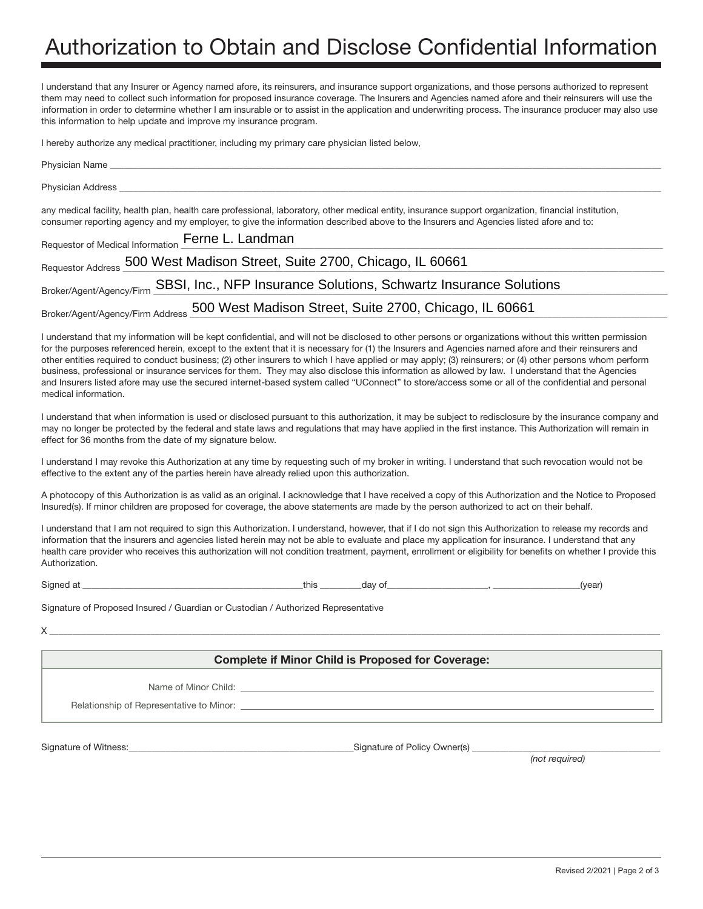# Authorization to Obtain and Disclose Confidential Information

I understand that any Insurer or Agency named afore, its reinsurers, and insurance support organizations, and those persons authorized to represent them may need to collect such information for proposed insurance coverage. The Insurers and Agencies named afore and their reinsurers will use the information in order to determine whether I am insurable or to assist in the application and underwriting process. The insurance producer may also use this information to help update and improve my insurance program.

I hereby authorize any medical practitioner, including my primary care physician listed below,

| Physician Address <b>Executive Structure 1986</b>                                                                                                                                                                                                                                             |
|-----------------------------------------------------------------------------------------------------------------------------------------------------------------------------------------------------------------------------------------------------------------------------------------------|
| any medical facility, health plan, health care professional, laboratory, other medical entity, insurance support organization, financial institution,<br>consumer reporting agency and my employer, to give the information described above to the Insurers and Agencies listed afore and to: |
| Requestor of Medical Information Ferne L. Landman                                                                                                                                                                                                                                             |
| Requestor Address 500 West Madison Street, Suite 2700, Chicago, IL 60661                                                                                                                                                                                                                      |
| Broker/Agent/Agency/Firm SBSI, Inc., NFP Insurance Solutions, Schwartz Insurance Solutions                                                                                                                                                                                                    |
| Broker/Agent/Agency/Firm Address 500 West Madison Street, Suite 2700, Chicago, IL 60661                                                                                                                                                                                                       |

I understand that my information will be kept confidential, and will not be disclosed to other persons or organizations without this written permission for the purposes referenced herein, except to the extent that it is necessary for (1) the Insurers and Agencies named afore and their reinsurers and other entities required to conduct business; (2) other insurers to which I have applied or may apply; (3) reinsurers; or (4) other persons whom perform business, professional or insurance services for them. They may also disclose this information as allowed by law. I understand that the Agencies and Insurers listed afore may use the secured internet-based system called "UConnect" to store/access some or all of the confidential and personal medical information.

I understand that when information is used or disclosed pursuant to this authorization, it may be subject to redisclosure by the insurance company and may no longer be protected by the federal and state laws and regulations that may have applied in the first instance. This Authorization will remain in effect for 36 months from the date of my signature below.

I understand I may revoke this Authorization at any time by requesting such of my broker in writing. I understand that such revocation would not be effective to the extent any of the parties herein have already relied upon this authorization.

A photocopy of this Authorization is as valid as an original. I acknowledge that I have received a copy of this Authorization and the Notice to Proposed Insured(s). If minor children are proposed for coverage, the above statements are made by the person authorized to act on their behalf.

I understand that I am not required to sign this Authorization. I understand, however, that if I do not sign this Authorization to release my records and information that the insurers and agencies listed herein may not be able to evaluate and place my application for insurance. I understand that any health care provider who receives this authorization will not condition treatment, payment, enrollment or eligibility for benefits on whether I provide this Authorization.

Signed at \_\_\_\_\_\_\_\_\_\_\_\_\_\_\_\_\_\_\_\_\_\_\_\_\_\_\_\_\_\_\_\_\_\_\_\_\_\_\_\_\_\_\_\_\_\_\_\_this \_\_\_\_\_\_\_\_\_day of\_\_\_\_\_\_\_\_\_\_\_\_\_\_\_\_\_\_\_\_\_\_, \_\_\_\_\_\_\_\_\_\_\_\_\_\_\_\_\_\_\_(year)

Signature of Proposed Insured / Guardian or Custodian / Authorized Representative

 $X \_\_$ 

#### **Complete if Minor Child is Proposed for Coverage:**

Name of Minor Child: \_

Relationship of Representative to Minor:

Signature of Witness:\_\_\_\_\_\_\_\_\_\_\_\_\_\_\_\_\_\_\_\_\_\_\_\_\_\_\_\_\_\_\_\_\_\_\_\_\_\_\_\_\_\_\_\_\_\_\_\_\_Signature of Policy Owner(s) \_\_\_\_\_\_\_\_\_\_\_\_\_\_\_\_\_\_\_\_\_\_\_\_\_\_\_\_\_\_\_\_\_\_\_\_\_\_\_\_\_

*(not required)*